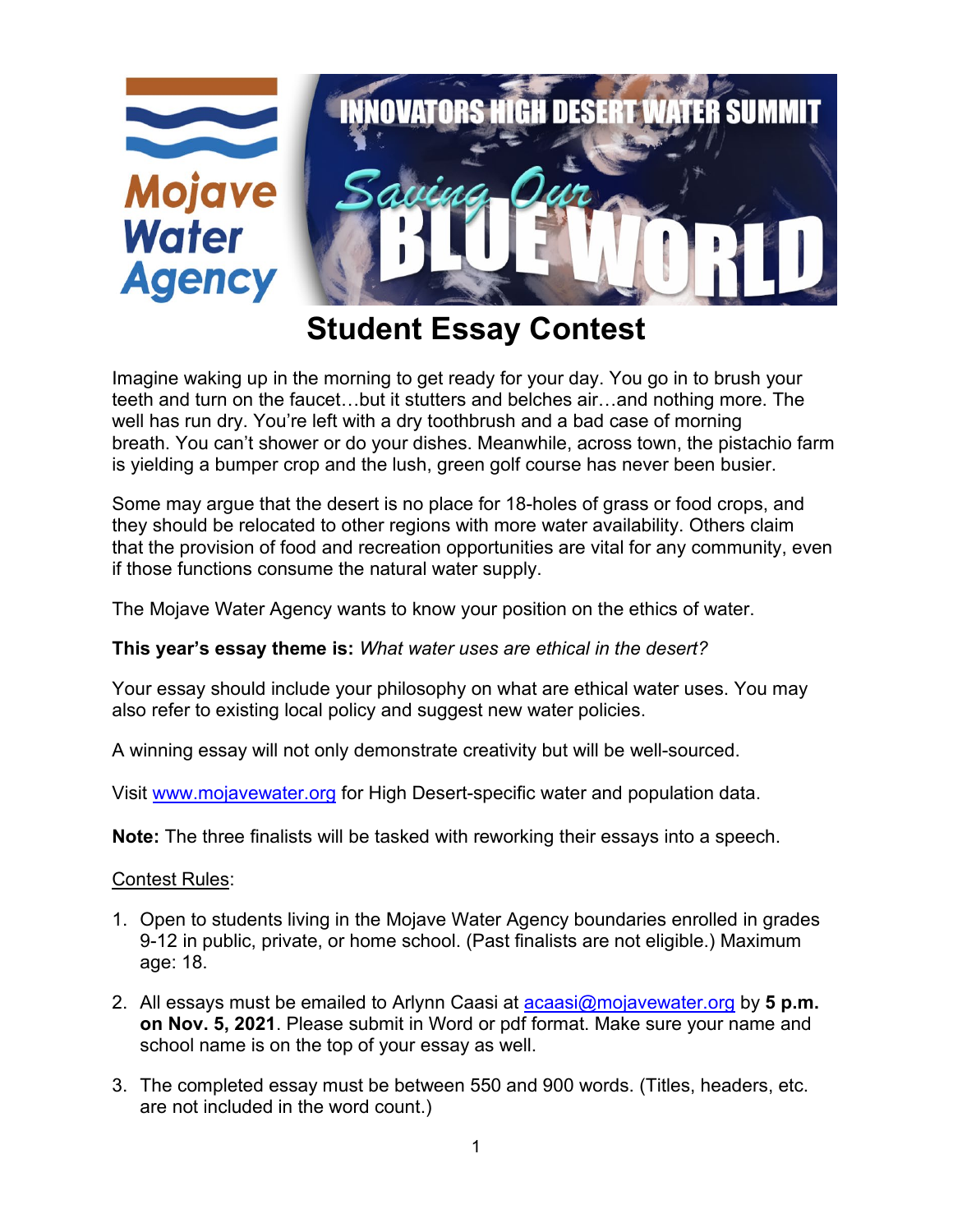

## **Student Essay Contest**

Imagine waking up in the morning to get ready for your day. You go in to brush your teeth and turn on the faucet…but it stutters and belches air…and nothing more. The well has run dry. You're left with a dry toothbrush and a bad case of morning breath. You can't shower or do your dishes. Meanwhile, across town, the pistachio farm is yielding a bumper crop and the lush, green golf course has never been busier.

Some may argue that the desert is no place for 18-holes of grass or food crops, and they should be relocated to other regions with more water availability. Others claim that the provision of food and recreation opportunities are vital for any community, even if those functions consume the natural water supply.

The Mojave Water Agency wants to know your position on the ethics of water.

## **This year's essay theme is:** *What water uses are ethical in the desert?*

Your essay should include your philosophy on what are ethical water uses. You may also refer to existing local policy and suggest new water policies.

A winning essay will not only demonstrate creativity but will be well-sourced.

Visit [www.mojavewater.org](http://www.mojavewater.org/) for High Desert-specific water and population data.

**Note:** The three finalists will be tasked with reworking their essays into a speech.

## Contest Rules:

- 1. Open to students living in the Mojave Water Agency boundaries enrolled in grades 9-12 in public, private, or home school. (Past finalists are not eligible.) Maximum age: 18.
- 2. All essays must be emailed to Arlynn Caasi at [acaasi@mojavewater.org](mailto:acaasi@mojavewater.org) by **5 p.m. on Nov. 5, 2021**. Please submit in Word or pdf format. Make sure your name and school name is on the top of your essay as well.
- 3. The completed essay must be between 550 and 900 words. (Titles, headers, etc. are not included in the word count.)